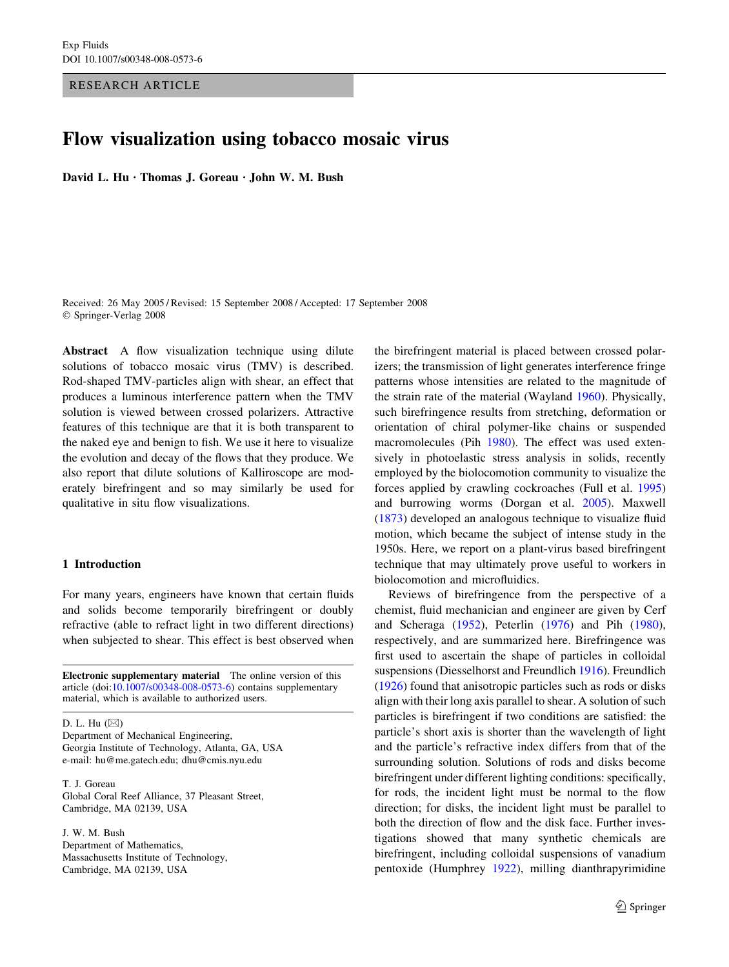RESEARCH ARTICLE

# Flow visualization using tobacco mosaic virus

David L. Hu  $\cdot$  Thomas J. Goreau  $\cdot$  John W. M. Bush

Received: 26 May 2005 / Revised: 15 September 2008 / Accepted: 17 September 2008 Springer-Verlag 2008

Abstract A flow visualization technique using dilute solutions of tobacco mosaic virus (TMV) is described. Rod-shaped TMV-particles align with shear, an effect that produces a luminous interference pattern when the TMV solution is viewed between crossed polarizers. Attractive features of this technique are that it is both transparent to the naked eye and benign to fish. We use it here to visualize the evolution and decay of the flows that they produce. We also report that dilute solutions of Kalliroscope are moderately birefringent and so may similarly be used for qualitative in situ flow visualizations.

## 1 Introduction

For many years, engineers have known that certain fluids and solids become temporarily birefringent or doubly refractive (able to refract light in two different directions) when subjected to shear. This effect is best observed when

Electronic supplementary material The online version of this article (doi:[10.1007/s00348-008-0573-6\)](http://dx.doi.org/10.1007/s00348-008-0573-6) contains supplementary material, which is available to authorized users.

D. L. Hu  $(\boxtimes)$ Department of Mechanical Engineering, Georgia Institute of Technology, Atlanta, GA, USA e-mail: hu@me.gatech.edu; dhu@cmis.nyu.edu

T. J. Goreau Global Coral Reef Alliance, 37 Pleasant Street, Cambridge, MA 02139, USA

J. W. M. Bush Department of Mathematics, Massachusetts Institute of Technology, Cambridge, MA 02139, USA

the birefringent material is placed between crossed polarizers; the transmission of light generates interference fringe patterns whose intensities are related to the magnitude of the strain rate of the material (Wayland [1960](#page-7-0)). Physically, such birefringence results from stretching, deformation or orientation of chiral polymer-like chains or suspended macromolecules (Pih [1980\)](#page-6-0). The effect was used extensively in photoelastic stress analysis in solids, recently employed by the biolocomotion community to visualize the forces applied by crawling cockroaches (Full et al. [1995\)](#page-6-0) and burrowing worms (Dorgan et al. [2005](#page-6-0)). Maxwell [\(1873](#page-6-0)) developed an analogous technique to visualize fluid motion, which became the subject of intense study in the 1950s. Here, we report on a plant-virus based birefringent technique that may ultimately prove useful to workers in biolocomotion and microfluidics.

Reviews of birefringence from the perspective of a chemist, fluid mechanician and engineer are given by Cerf and Scheraga ([1952\)](#page-6-0), Peterlin ([1976\)](#page-6-0) and Pih [\(1980](#page-6-0)), respectively, and are summarized here. Birefringence was first used to ascertain the shape of particles in colloidal suspensions (Diesselhorst and Freundlich [1916\)](#page-6-0). Freundlich [\(1926](#page-6-0)) found that anisotropic particles such as rods or disks align with their long axis parallel to shear. A solution of such particles is birefringent if two conditions are satisfied: the particle's short axis is shorter than the wavelength of light and the particle's refractive index differs from that of the surrounding solution. Solutions of rods and disks become birefringent under different lighting conditions: specifically, for rods, the incident light must be normal to the flow direction; for disks, the incident light must be parallel to both the direction of flow and the disk face. Further investigations showed that many synthetic chemicals are birefringent, including colloidal suspensions of vanadium pentoxide (Humphrey [1922](#page-6-0)), milling dianthrapyrimidine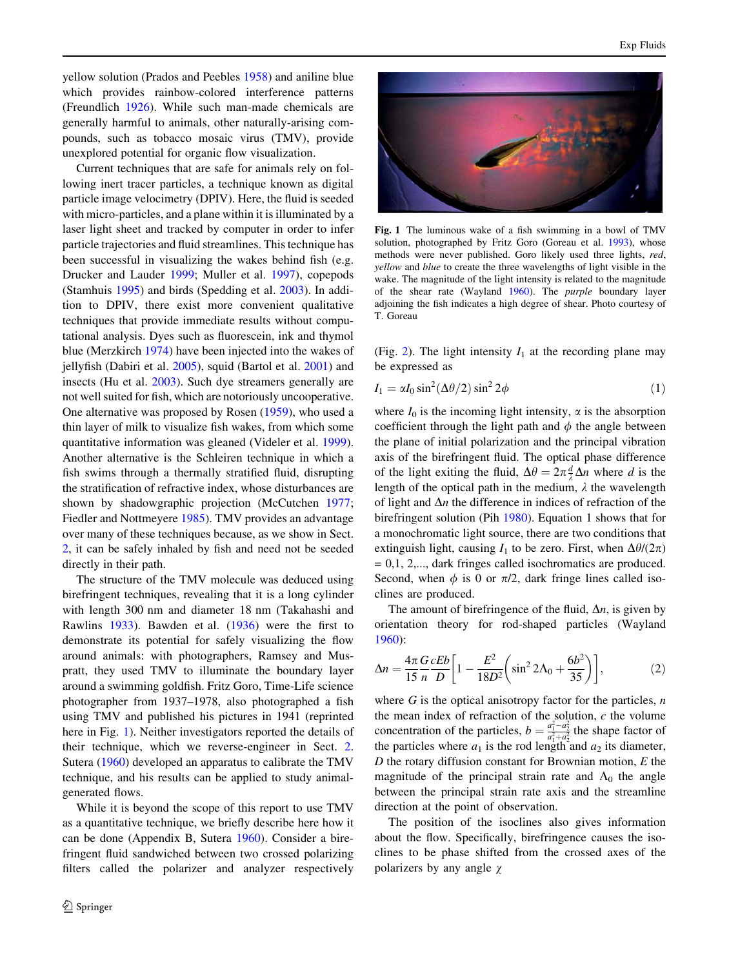<span id="page-1-0"></span>yellow solution (Prados and Peebles [1958\)](#page-6-0) and aniline blue which provides rainbow-colored interference patterns (Freundlich [1926](#page-6-0)). While such man-made chemicals are generally harmful to animals, other naturally-arising compounds, such as tobacco mosaic virus (TMV), provide unexplored potential for organic flow visualization.

Current techniques that are safe for animals rely on following inert tracer particles, a technique known as digital particle image velocimetry (DPIV). Here, the fluid is seeded with micro-particles, and a plane within it is illuminated by a laser light sheet and tracked by computer in order to infer particle trajectories and fluid streamlines. This technique has been successful in visualizing the wakes behind fish (e.g. Drucker and Lauder [1999;](#page-6-0) Muller et al. [1997](#page-6-0)), copepods (Stamhuis [1995\)](#page-6-0) and birds (Spedding et al. [2003](#page-6-0)). In addition to DPIV, there exist more convenient qualitative techniques that provide immediate results without computational analysis. Dyes such as fluorescein, ink and thymol blue (Merzkirch [1974](#page-6-0)) have been injected into the wakes of jellyfish (Dabiri et al. [2005](#page-6-0)), squid (Bartol et al. [2001](#page-6-0)) and insects (Hu et al. [2003](#page-6-0)). Such dye streamers generally are not well suited for fish, which are notoriously uncooperative. One alternative was proposed by Rosen ([1959\)](#page-6-0), who used a thin layer of milk to visualize fish wakes, from which some quantitative information was gleaned (Videler et al. [1999](#page-7-0)). Another alternative is the Schleiren technique in which a fish swims through a thermally stratified fluid, disrupting the stratification of refractive index, whose disturbances are shown by shadowgraphic projection (McCutchen [1977](#page-6-0); Fiedler and Nottmeyere [1985\)](#page-6-0). TMV provides an advantage over many of these techniques because, as we show in Sect. [2](#page-2-0), it can be safely inhaled by fish and need not be seeded directly in their path.

The structure of the TMV molecule was deduced using birefringent techniques, revealing that it is a long cylinder with length 300 nm and diameter 18 nm (Takahashi and Rawlins [1933](#page-6-0)). Bawden et al. [\(1936](#page-6-0)) were the first to demonstrate its potential for safely visualizing the flow around animals: with photographers, Ramsey and Muspratt, they used TMV to illuminate the boundary layer around a swimming goldfish. Fritz Goro, Time-Life science photographer from 1937–1978, also photographed a fish using TMV and published his pictures in 1941 (reprinted here in Fig. 1). Neither investigators reported the details of their technique, which we reverse-engineer in Sect. [2.](#page-2-0) Sutera [\(1960](#page-6-0)) developed an apparatus to calibrate the TMV technique, and his results can be applied to study animalgenerated flows.

While it is beyond the scope of this report to use TMV as a quantitative technique, we briefly describe here how it can be done (Appendix B, Sutera [1960\)](#page-6-0). Consider a birefringent fluid sandwiched between two crossed polarizing filters called the polarizer and analyzer respectively



Fig. 1 The luminous wake of a fish swimming in a bowl of TMV solution, photographed by Fritz Goro (Goreau et al. [1993\)](#page-6-0), whose methods were never published. Goro likely used three lights, red, yellow and blue to create the three wavelengths of light visible in the wake. The magnitude of the light intensity is related to the magnitude of the shear rate (Wayland [1960\)](#page-7-0). The purple boundary layer adjoining the fish indicates a high degree of shear. Photo courtesy of T. Goreau

(Fig. [2\)](#page-2-0). The light intensity  $I_1$  at the recording plane may be expressed as

$$
I_1 = \alpha I_0 \sin^2(\Delta \theta/2) \sin^2 2\phi \tag{1}
$$

where  $I_0$  is the incoming light intensity,  $\alpha$  is the absorption coefficient through the light path and  $\phi$  the angle between the plane of initial polarization and the principal vibration axis of the birefringent fluid. The optical phase difference of the light exiting the fluid,  $\Delta \theta = 2\pi \frac{d}{\lambda} \Delta n$  where d is the length of the optical path in the medium,  $\lambda$  the wavelength of light and  $\Delta n$  the difference in indices of refraction of the birefringent solution (Pih [1980](#page-6-0)). Equation 1 shows that for a monochromatic light source, there are two conditions that extinguish light, causing  $I_1$  to be zero. First, when  $\Delta\theta/(2\pi)$  $= 0, 1, 2, \ldots$ , dark fringes called isochromatics are produced. Second, when  $\phi$  is 0 or  $\pi/2$ , dark fringe lines called isoclines are produced.

The amount of birefringence of the fluid,  $\Delta n$ , is given by orientation theory for rod-shaped particles (Wayland [1960](#page-7-0)):

$$
\Delta n = \frac{4\pi}{15} \frac{G}{n} \frac{cEb}{D} \bigg[ 1 - \frac{E^2}{18D^2} \bigg( \sin^2 2\Lambda_0 + \frac{6b^2}{35} \bigg) \bigg],
$$
 (2)

where  $G$  is the optical anisotropy factor for the particles,  $n$ the mean index of refraction of the solution,  $c$  the volume concentration of the particles,  $b = \frac{a_1^2 - a_2^2}{a_1^2 + a_2^2}$  the shape factor of the particles where  $a_1$  is the rod length and  $a_2$  its diameter,  $D$  the rotary diffusion constant for Brownian motion,  $E$  the magnitude of the principal strain rate and  $\Lambda_0$  the angle between the principal strain rate axis and the streamline direction at the point of observation.

The position of the isoclines also gives information about the flow. Specifically, birefringence causes the isoclines to be phase shifted from the crossed axes of the polarizers by any angle  $\chi$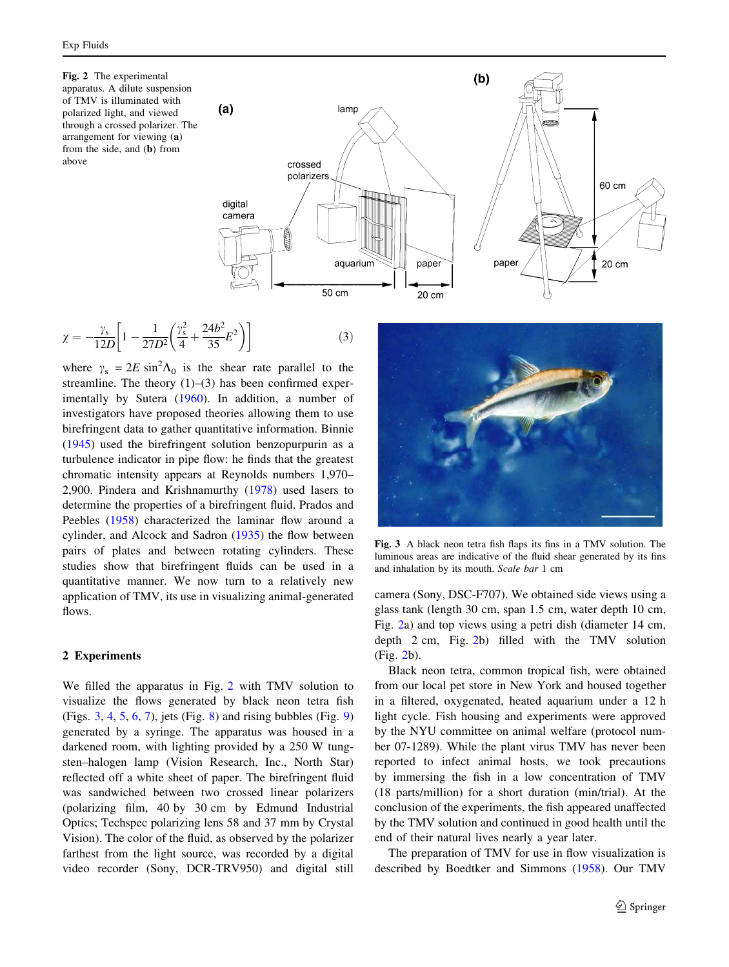<span id="page-2-0"></span>Fig. 2 The experimental apparatus. A dilute suspension of TMV is illuminated with polarized light, and viewed through a crossed polarizer. The arrangement for viewing (a) from the side, and (b) from above



$$
\chi = -\frac{\gamma_s}{12D} \left[ 1 - \frac{1}{27D^2} \left( \frac{\gamma_s^2}{4} + \frac{24b^2}{35} E^2 \right) \right] \tag{3}
$$

where  $\gamma_s = 2E \sin^2 \Lambda_0$  is the shear rate parallel to the streamline. The theory  $(1)$ – $(3)$  has been confirmed experimentally by Sutera [\(1960\)](#page-6-0). In addition, a number of investigators have proposed theories allowing them to use birefringent data to gather quantitative information. Binnie [\(1945](#page-6-0)) used the birefringent solution benzopurpurin as a turbulence indicator in pipe flow: he finds that the greatest chromatic intensity appears at Reynolds numbers 1,970– 2,900. Pindera and Krishnamurthy [\(1978](#page-6-0)) used lasers to determine the properties of a birefringent fluid. Prados and Peebles ([1958\)](#page-6-0) characterized the laminar flow around a cylinder, and Alcock and Sadron [\(1935](#page-6-0)) the flow between pairs of plates and between rotating cylinders. These studies show that birefringent fluids can be used in a quantitative manner. We now turn to a relatively new application of TMV, its use in visualizing animal-generated flows.

### 2 Experiments

We filled the apparatus in Fig. 2 with TMV solution to visualize the flows generated by black neon tetra fish (Figs. 3, [4,](#page-3-0) [5,](#page-3-0) [6,](#page-4-0) [7](#page-4-0)), jets (Fig. [8\)](#page-5-0) and rising bubbles (Fig. [9\)](#page-5-0) generated by a syringe. The apparatus was housed in a darkened room, with lighting provided by a 250 W tungsten–halogen lamp (Vision Research, Inc., North Star) reflected off a white sheet of paper. The birefringent fluid was sandwiched between two crossed linear polarizers (polarizing film, 40 by 30 cm by Edmund Industrial Optics; Techspec polarizing lens 58 and 37 mm by Crystal Vision). The color of the fluid, as observed by the polarizer farthest from the light source, was recorded by a digital video recorder (Sony, DCR-TRV950) and digital still



Fig. 3 A black neon tetra fish flaps its fins in a TMV solution. The luminous areas are indicative of the fluid shear generated by its fins and inhalation by its mouth. Scale bar 1 cm

camera (Sony, DSC-F707). We obtained side views using a glass tank (length 30 cm, span 1.5 cm, water depth 10 cm, Fig. 2a) and top views using a petri dish (diameter 14 cm, depth 2 cm, Fig. 2b) filled with the TMV solution (Fig. 2b).

Black neon tetra, common tropical fish, were obtained from our local pet store in New York and housed together in a filtered, oxygenated, heated aquarium under a 12 h light cycle. Fish housing and experiments were approved by the NYU committee on animal welfare (protocol number 07-1289). While the plant virus TMV has never been reported to infect animal hosts, we took precautions by immersing the fish in a low concentration of TMV (18 parts/million) for a short duration (min/trial). At the conclusion of the experiments, the fish appeared unaffected by the TMV solution and continued in good health until the end of their natural lives nearly a year later.

The preparation of TMV for use in flow visualization is described by Boedtker and Simmons [\(1958](#page-6-0)). Our TMV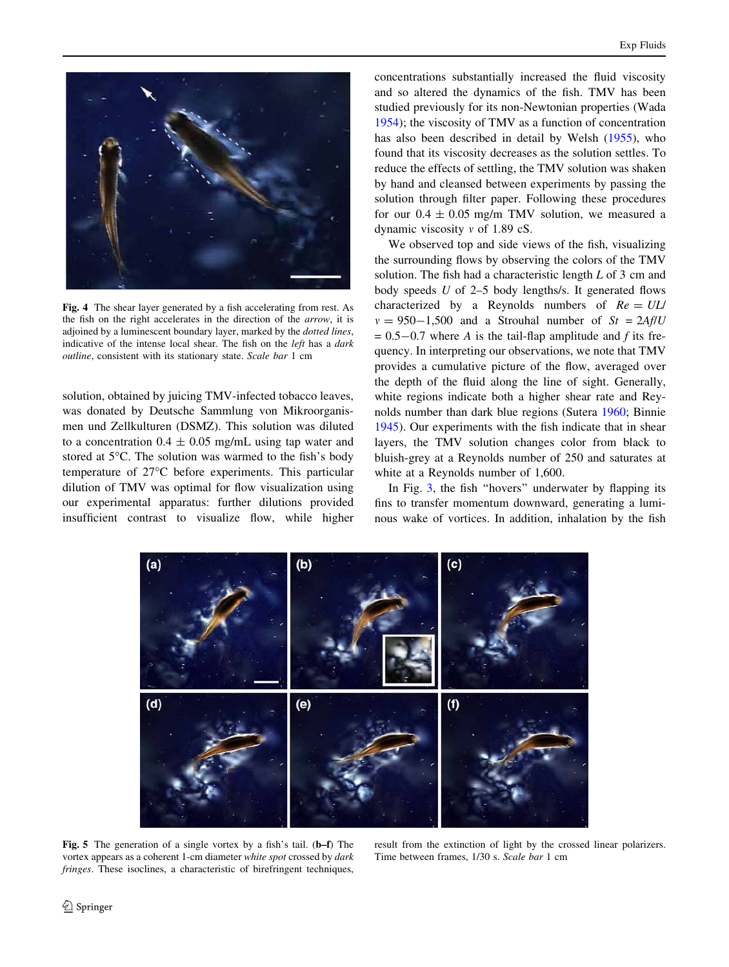<span id="page-3-0"></span>

Fig. 4 The shear layer generated by a fish accelerating from rest. As the fish on the right accelerates in the direction of the arrow, it is adjoined by a luminescent boundary layer, marked by the dotted lines, indicative of the intense local shear. The fish on the *left* has a *dark* outline, consistent with its stationary state. Scale bar 1 cm

solution, obtained by juicing TMV-infected tobacco leaves, was donated by Deutsche Sammlung von Mikroorganismen und Zellkulturen (DSMZ). This solution was diluted to a concentration  $0.4 \pm 0.05$  mg/mL using tap water and stored at 5°C. The solution was warmed to the fish's body temperature of 27°C before experiments. This particular dilution of TMV was optimal for flow visualization using our experimental apparatus: further dilutions provided insufficient contrast to visualize flow, while higher concentrations substantially increased the fluid viscosity and so altered the dynamics of the fish. TMV has been studied previously for its non-Newtonian properties (Wada [1954](#page-7-0)); the viscosity of TMV as a function of concentration has also been described in detail by Welsh ([1955\)](#page-7-0), who found that its viscosity decreases as the solution settles. To reduce the effects of settling, the TMV solution was shaken by hand and cleansed between experiments by passing the solution through filter paper. Following these procedures for our  $0.4 \pm 0.05$  mg/m TMV solution, we measured a dynamic viscosity  $\nu$  of 1.89 cS.

We observed top and side views of the fish, visualizing the surrounding flows by observing the colors of the TMV solution. The fish had a characteristic length  $L$  of 3 cm and body speeds  $U$  of 2–5 body lengths/s. It generated flows characterized by a Reynolds numbers of  $Re = ULI$  $v = 950-1,500$  and a Strouhal number of  $St = 2Af/U$  $= 0.5-0.7$  where A is the tail-flap amplitude and f its frequency. In interpreting our observations, we note that TMV provides a cumulative picture of the flow, averaged over the depth of the fluid along the line of sight. Generally, white regions indicate both a higher shear rate and Reynolds number than dark blue regions (Sutera [1960](#page-6-0); Binnie [1945](#page-6-0)). Our experiments with the fish indicate that in shear layers, the TMV solution changes color from black to bluish-grey at a Reynolds number of 250 and saturates at white at a Reynolds number of 1,600.

In Fig. [3,](#page-2-0) the fish ''hovers'' underwater by flapping its fins to transfer momentum downward, generating a luminous wake of vortices. In addition, inhalation by the fish



Fig. 5 The generation of a single vortex by a fish's tail. (b–f) The vortex appears as a coherent 1-cm diameter white spot crossed by dark fringes. These isoclines, a characteristic of birefringent techniques,

result from the extinction of light by the crossed linear polarizers. Time between frames, 1/30 s. Scale bar 1 cm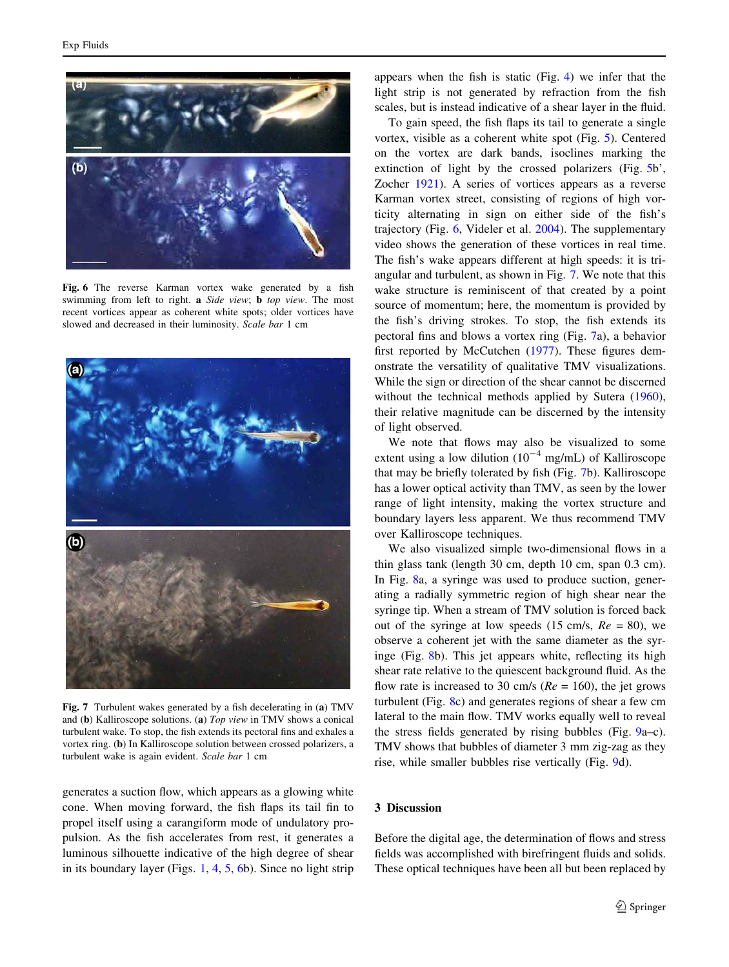<span id="page-4-0"></span>

Fig. 6 The reverse Karman vortex wake generated by a fish swimming from left to right. a Side view; **b** top view. The most recent vortices appear as coherent white spots; older vortices have slowed and decreased in their luminosity. Scale bar 1 cm



Fig. 7 Turbulent wakes generated by a fish decelerating in (a) TMV and (b) Kalliroscope solutions. (a) Top view in TMV shows a conical turbulent wake. To stop, the fish extends its pectoral fins and exhales a vortex ring. (b) In Kalliroscope solution between crossed polarizers, a turbulent wake is again evident. Scale bar 1 cm

generates a suction flow, which appears as a glowing white cone. When moving forward, the fish flaps its tail fin to propel itself using a carangiform mode of undulatory propulsion. As the fish accelerates from rest, it generates a luminous silhouette indicative of the high degree of shear in its boundary layer (Figs. [1](#page-1-0), [4,](#page-3-0) [5,](#page-3-0) 6b). Since no light strip appears when the fish is static (Fig. [4\)](#page-3-0) we infer that the light strip is not generated by refraction from the fish scales, but is instead indicative of a shear layer in the fluid.

To gain speed, the fish flaps its tail to generate a single vortex, visible as a coherent white spot (Fig. [5\)](#page-3-0). Centered on the vortex are dark bands, isoclines marking the extinction of light by the crossed polarizers (Fig. [5](#page-3-0)b', Zocher [1921](#page-7-0)). A series of vortices appears as a reverse Karman vortex street, consisting of regions of high vorticity alternating in sign on either side of the fish's trajectory (Fig. 6, Videler et al. [2004\)](#page-6-0). The supplementary video shows the generation of these vortices in real time. The fish's wake appears different at high speeds: it is triangular and turbulent, as shown in Fig. 7. We note that this wake structure is reminiscent of that created by a point source of momentum; here, the momentum is provided by the fish's driving strokes. To stop, the fish extends its pectoral fins and blows a vortex ring (Fig. 7a), a behavior first reported by McCutchen [\(1977](#page-6-0)). These figures demonstrate the versatility of qualitative TMV visualizations. While the sign or direction of the shear cannot be discerned without the technical methods applied by Sutera [\(1960](#page-6-0)), their relative magnitude can be discerned by the intensity of light observed.

We note that flows may also be visualized to some extent using a low dilution  $(10^{-4} \text{ mg/mL})$  of Kalliroscope that may be briefly tolerated by fish (Fig. 7b). Kalliroscope has a lower optical activity than TMV, as seen by the lower range of light intensity, making the vortex structure and boundary layers less apparent. We thus recommend TMV over Kalliroscope techniques.

We also visualized simple two-dimensional flows in a thin glass tank (length 30 cm, depth 10 cm, span 0.3 cm). In Fig. [8](#page-5-0)a, a syringe was used to produce suction, generating a radially symmetric region of high shear near the syringe tip. When a stream of TMV solution is forced back out of the syringe at low speeds (15 cm/s,  $Re = 80$ ), we observe a coherent jet with the same diameter as the syringe (Fig. [8](#page-5-0)b). This jet appears white, reflecting its high shear rate relative to the quiescent background fluid. As the flow rate is increased to 30 cm/s ( $Re = 160$ ), the jet grows turbulent (Fig. [8](#page-5-0)c) and generates regions of shear a few cm lateral to the main flow. TMV works equally well to reveal the stress fields generated by rising bubbles (Fig. [9a](#page-5-0)–c). TMV shows that bubbles of diameter 3 mm zig-zag as they rise, while smaller bubbles rise vertically (Fig. [9d](#page-5-0)).

## 3 Discussion

Before the digital age, the determination of flows and stress fields was accomplished with birefringent fluids and solids. These optical techniques have been all but been replaced by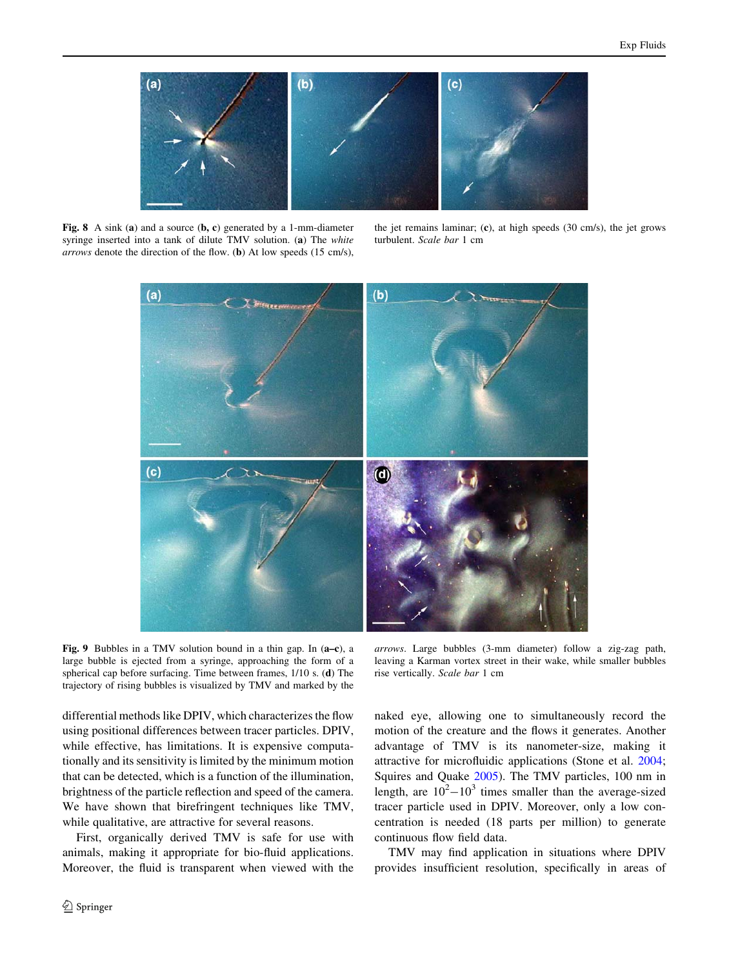<span id="page-5-0"></span>

Fig. 8 A sink (a) and a source  $(b, c)$  generated by a 1-mm-diameter syringe inserted into a tank of dilute TMV solution. (a) The white arrows denote the direction of the flow. (b) At low speeds (15 cm/s),

the jet remains laminar; (c), at high speeds (30 cm/s), the jet grows turbulent. Scale bar 1 cm



Fig. 9 Bubbles in a TMV solution bound in a thin gap. In (a–c), a large bubble is ejected from a syringe, approaching the form of a spherical cap before surfacing. Time between frames, 1/10 s. (d) The trajectory of rising bubbles is visualized by TMV and marked by the

arrows. Large bubbles (3-mm diameter) follow a zig-zag path, leaving a Karman vortex street in their wake, while smaller bubbles rise vertically. Scale bar 1 cm

differential methods like DPIV, which characterizes the flow using positional differences between tracer particles. DPIV, while effective, has limitations. It is expensive computationally and its sensitivity is limited by the minimum motion that can be detected, which is a function of the illumination, brightness of the particle reflection and speed of the camera. We have shown that birefringent techniques like TMV, while qualitative, are attractive for several reasons.

First, organically derived TMV is safe for use with animals, making it appropriate for bio-fluid applications. Moreover, the fluid is transparent when viewed with the naked eye, allowing one to simultaneously record the motion of the creature and the flows it generates. Another advantage of TMV is its nanometer-size, making it attractive for microfluidic applications (Stone et al. [2004](#page-6-0); Squires and Quake [2005](#page-6-0)). The TMV particles, 100 nm in length, are  $10^2 - 10^3$  times smaller than the average-sized tracer particle used in DPIV. Moreover, only a low concentration is needed (18 parts per million) to generate continuous flow field data.

TMV may find application in situations where DPIV provides insufficient resolution, specifically in areas of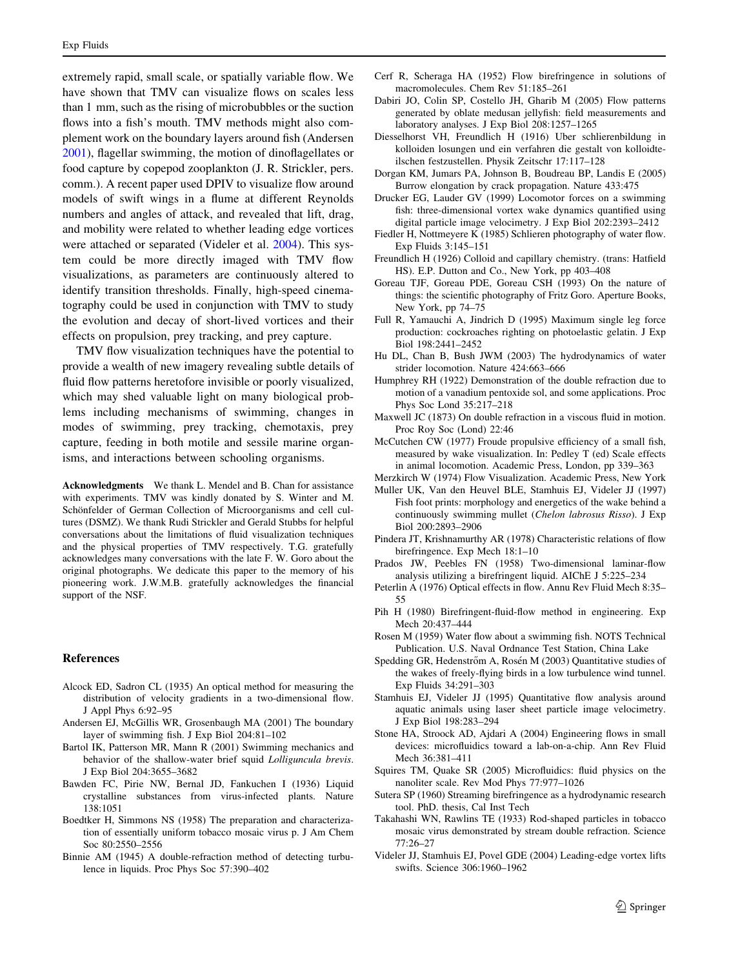<span id="page-6-0"></span>extremely rapid, small scale, or spatially variable flow. We have shown that TMV can visualize flows on scales less than 1 mm, such as the rising of microbubbles or the suction flows into a fish's mouth. TMV methods might also complement work on the boundary layers around fish (Andersen 2001), flagellar swimming, the motion of dinoflagellates or food capture by copepod zooplankton (J. R. Strickler, pers. comm.). A recent paper used DPIV to visualize flow around models of swift wings in a flume at different Reynolds numbers and angles of attack, and revealed that lift, drag, and mobility were related to whether leading edge vortices were attached or separated (Videler et al. 2004). This system could be more directly imaged with TMV flow visualizations, as parameters are continuously altered to identify transition thresholds. Finally, high-speed cinematography could be used in conjunction with TMV to study the evolution and decay of short-lived vortices and their effects on propulsion, prey tracking, and prey capture.

TMV flow visualization techniques have the potential to provide a wealth of new imagery revealing subtle details of fluid flow patterns heretofore invisible or poorly visualized, which may shed valuable light on many biological problems including mechanisms of swimming, changes in modes of swimming, prey tracking, chemotaxis, prey capture, feeding in both motile and sessile marine organisms, and interactions between schooling organisms.

Acknowledgments We thank L. Mendel and B. Chan for assistance with experiments. TMV was kindly donated by S. Winter and M. Schönfelder of German Collection of Microorganisms and cell cultures (DSMZ). We thank Rudi Strickler and Gerald Stubbs for helpful conversations about the limitations of fluid visualization techniques and the physical properties of TMV respectively. T.G. gratefully acknowledges many conversations with the late F. W. Goro about the original photographs. We dedicate this paper to the memory of his pioneering work. J.W.M.B. gratefully acknowledges the financial support of the NSF.

#### References

- Alcock ED, Sadron CL (1935) An optical method for measuring the distribution of velocity gradients in a two-dimensional flow. J Appl Phys 6:92–95
- Andersen EJ, McGillis WR, Grosenbaugh MA (2001) The boundary layer of swimming fish. J Exp Biol 204:81–102
- Bartol IK, Patterson MR, Mann R (2001) Swimming mechanics and behavior of the shallow-water brief squid *Lolliguncula brevis*. J Exp Biol 204:3655–3682
- Bawden FC, Pirie NW, Bernal JD, Fankuchen I (1936) Liquid crystalline substances from virus-infected plants. Nature 138:1051
- Boedtker H, Simmons NS (1958) The preparation and characterization of essentially uniform tobacco mosaic virus p. J Am Chem Soc 80:2550–2556
- Binnie AM (1945) A double-refraction method of detecting turbulence in liquids. Proc Phys Soc 57:390–402
- Cerf R, Scheraga HA (1952) Flow birefringence in solutions of macromolecules. Chem Rev 51:185–261
- Dabiri JO, Colin SP, Costello JH, Gharib M (2005) Flow patterns generated by oblate medusan jellyfish: field measurements and laboratory analyses. J Exp Biol 208:1257–1265
- Diesselhorst VH, Freundlich H (1916) Uber schlierenbildung in kolloiden losungen und ein verfahren die gestalt von kolloidteilschen festzustellen. Physik Zeitschr 17:117–128
- Dorgan KM, Jumars PA, Johnson B, Boudreau BP, Landis E (2005) Burrow elongation by crack propagation. Nature 433:475
- Drucker EG, Lauder GV (1999) Locomotor forces on a swimming fish: three-dimensional vortex wake dynamics quantified using digital particle image velocimetry. J Exp Biol 202:2393–2412
- Fiedler H, Nottmeyere K (1985) Schlieren photography of water flow. Exp Fluids 3:145–151
- Freundlich H (1926) Colloid and capillary chemistry. (trans: Hatfield HS). E.P. Dutton and Co., New York, pp 403–408
- Goreau TJF, Goreau PDE, Goreau CSH (1993) On the nature of things: the scientific photography of Fritz Goro. Aperture Books, New York, pp 74–75
- Full R, Yamauchi A, Jindrich D (1995) Maximum single leg force production: cockroaches righting on photoelastic gelatin. J Exp Biol 198:2441–2452
- Hu DL, Chan B, Bush JWM (2003) The hydrodynamics of water strider locomotion. Nature 424:663–666
- Humphrey RH (1922) Demonstration of the double refraction due to motion of a vanadium pentoxide sol, and some applications. Proc Phys Soc Lond 35:217–218
- Maxwell JC (1873) On double refraction in a viscous fluid in motion. Proc Roy Soc (Lond) 22:46
- McCutchen CW (1977) Froude propulsive efficiency of a small fish, measured by wake visualization. In: Pedley T (ed) Scale effects in animal locomotion. Academic Press, London, pp 339–363
- Merzkirch W (1974) Flow Visualization. Academic Press, New York
- Muller UK, Van den Heuvel BLE, Stamhuis EJ, Videler JJ (1997) Fish foot prints: morphology and energetics of the wake behind a continuously swimming mullet (Chelon labrosus Risso). J Exp Biol 200:2893–2906
- Pindera JT, Krishnamurthy AR (1978) Characteristic relations of flow birefringence. Exp Mech 18:1–10
- Prados JW, Peebles FN (1958) Two-dimensional laminar-flow analysis utilizing a birefringent liquid. AIChE J 5:225–234
- Peterlin A (1976) Optical effects in flow. Annu Rev Fluid Mech 8:35– 55
- Pih H (1980) Birefringent-fluid-flow method in engineering. Exp Mech 20:437–444
- Rosen M (1959) Water flow about a swimming fish. NOTS Technical Publication. U.S. Naval Ordnance Test Station, China Lake
- Spedding GR, Hedenstrőm A, Rosén M (2003) Quantitative studies of the wakes of freely-flying birds in a low turbulence wind tunnel. Exp Fluids 34:291–303
- Stamhuis EJ, Videler JJ (1995) Quantitative flow analysis around aquatic animals using laser sheet particle image velocimetry. J Exp Biol 198:283–294
- Stone HA, Stroock AD, Ajdari A (2004) Engineering flows in small devices: microfluidics toward a lab-on-a-chip. Ann Rev Fluid Mech 36:381–411
- Squires TM, Quake SR (2005) Microfluidics: fluid physics on the nanoliter scale. Rev Mod Phys 77:977–1026
- Sutera SP (1960) Streaming birefringence as a hydrodynamic research tool. PhD. thesis, Cal Inst Tech
- Takahashi WN, Rawlins TE (1933) Rod-shaped particles in tobacco mosaic virus demonstrated by stream double refraction. Science 77:26–27
- Videler JJ, Stamhuis EJ, Povel GDE (2004) Leading-edge vortex lifts swifts. Science 306:1960–1962